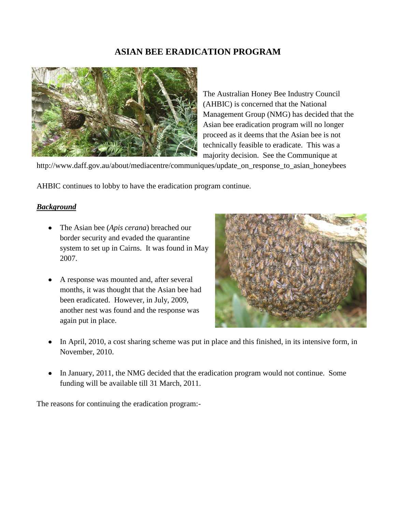# **ASIAN BEE ERADICATION PROGRAM**



The Australian Honey Bee Industry Council (AHBIC) is concerned that the National Management Group (NMG) has decided that the Asian bee eradication program will no longer proceed as it deems that the Asian bee is not technically feasible to eradicate. This was a majority decision. See the Communique at

http://www.daff.gov.au/about/mediacentre/communiques/update\_on\_response\_to\_asian\_honeybees

AHBIC continues to lobby to have the eradication program continue.

### *Background*

- The Asian bee (*Apis cerana*) breached our border security and evaded the quarantine system to set up in Cairns. It was found in May 2007.
- A response was mounted and, after several months, it was thought that the Asian bee had been eradicated. However, in July, 2009, another nest was found and the response was again put in place.



- In April, 2010, a cost sharing scheme was put in place and this finished, in its intensive form, in November, 2010.
- In January, 2011, the NMG decided that the eradication program would not continue. Some funding will be available till 31 March, 2011.

The reasons for continuing the eradication program:-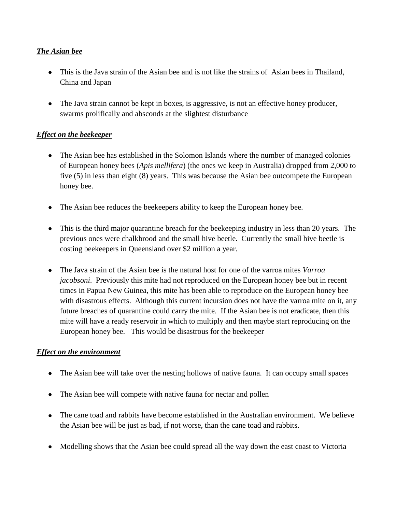## *The Asian bee*

- This is the Java strain of the Asian bee and is not like the strains of Asian bees in Thailand, China and Japan
- The Java strain cannot be kept in boxes, is aggressive, is not an effective honey producer, swarms prolifically and absconds at the slightest disturbance

## *Effect on the beekeeper*

- The Asian bee has established in the Solomon Islands where the number of managed colonies of European honey bees (*Apis mellifera*) (the ones we keep in Australia) dropped from 2,000 to five (5) in less than eight (8) years. This was because the Asian bee outcompete the European honey bee.
- The Asian bee reduces the beekeepers ability to keep the European honey bee.
- This is the third major quarantine breach for the beekeeping industry in less than 20 years. The previous ones were chalkbrood and the small hive beetle. Currently the small hive beetle is costing beekeepers in Queensland over \$2 million a year.
- The Java strain of the Asian bee is the natural host for one of the varroa mites *Varroa jacobsoni*. Previously this mite had not reproduced on the European honey bee but in recent times in Papua New Guinea, this mite has been able to reproduce on the European honey bee with disastrous effects. Although this current incursion does not have the varroa mite on it, any future breaches of quarantine could carry the mite. If the Asian bee is not eradicate, then this mite will have a ready reservoir in which to multiply and then maybe start reproducing on the European honey bee. This would be disastrous for the beekeeper

### *Effect on the environment*

- The Asian bee will take over the nesting hollows of native fauna. It can occupy small spaces
- The Asian bee will compete with native fauna for nectar and pollen
- The cane toad and rabbits have become established in the Australian environment. We believe the Asian bee will be just as bad, if not worse, than the cane toad and rabbits.
- Modelling shows that the Asian bee could spread all the way down the east coast to Victoria